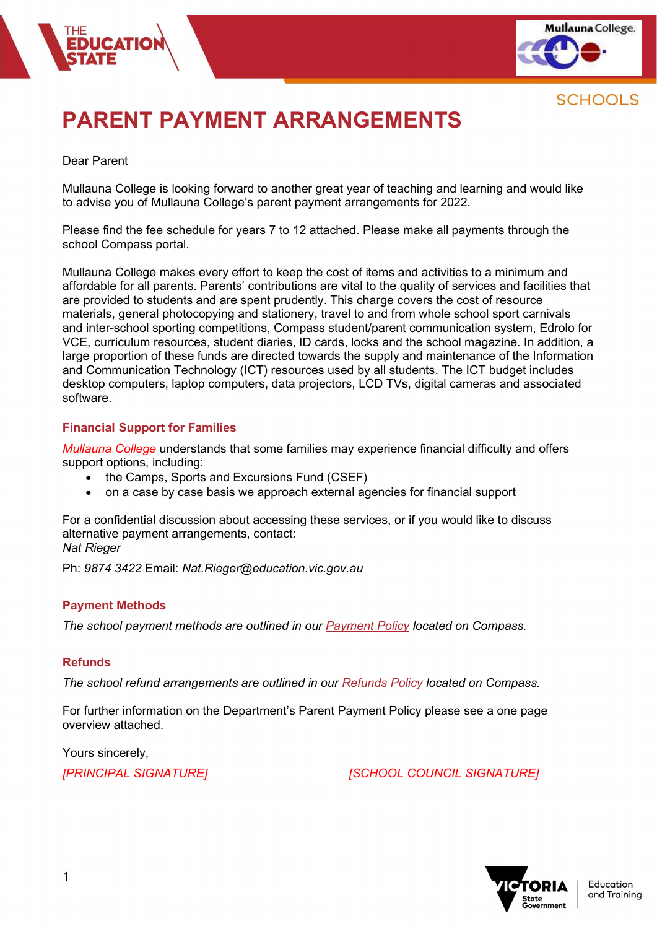

# PARENT PAYMENT ARRANGEMENTS

#### Dear Parent

Mullauna College is looking forward to another great year of teaching and learning and would like to advise you of Mullauna College's parent payment arrangements for 2022.

Please find the fee schedule for years 7 to 12 attached. Please make all payments through the school Compass portal.

Mullauna College makes every effort to keep the cost of items and activities to a minimum and affordable for all parents. Parents' contributions are vital to the quality of services and facilities that are provided to students and are spent prudently. This charge covers the cost of resource materials, general photocopying and stationery, travel to and from whole school sport carnivals and inter-school sporting competitions, Compass student/parent communication system, Edrolo for VCE, curriculum resources, student diaries, ID cards, locks and the school magazine. In addition, a large proportion of these funds are directed towards the supply and maintenance of the Information and Communication Technology (ICT) resources used by all students. The ICT budget includes desktop computers, laptop computers, data projectors, LCD TVs, digital cameras and associated software.

#### Financial Support for Families

Mullauna College understands that some families may experience financial difficulty and offers support options, including:

- the Camps, Sports and Excursions Fund (CSEF)
- on a case by case basis we approach external agencies for financial support

For a confidential discussion about accessing these services, or if you would like to discuss alternative payment arrangements, contact: Nat Rieger

Ph: 9874 3422 Email: Nat.Rieger@education.vic.gov.au

#### Payment Methods

The school payment methods are outlined in our Payment Policy located on Compass.

#### Refunds

The school refund arrangements are outlined in our Refunds Policy located on Compass.

For further information on the Department's Parent Payment Policy please see a one page overview attached.

Yours sincerely,

[PRINCIPAL SIGNATURE] TERRINCIPAL SIGNATURE]

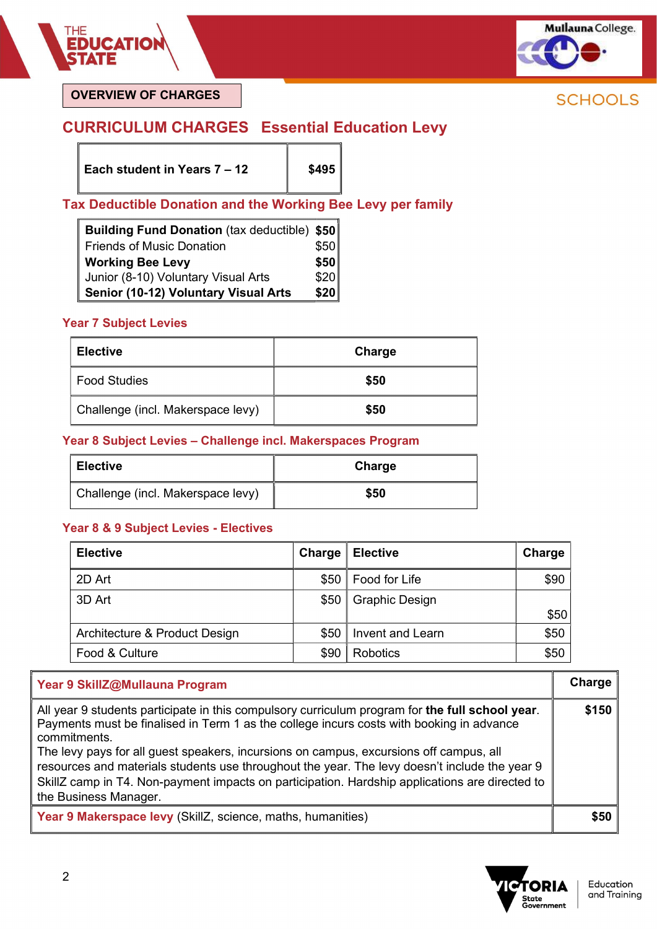

OVERVIEW OF CHARGES

# CURRICULUM CHARGES Essential Education Levy

Each student in Years  $7 - 12$  | \$495

## Tax Deductible Donation and the Working Bee Levy per family

| Building Fund Donation (tax deductible) \$50 |      |
|----------------------------------------------|------|
| <b>Friends of Music Donation</b>             | \$50 |
| <b>Working Bee Levy</b>                      | \$50 |
| Junior (8-10) Voluntary Visual Arts          | \$20 |
| Senior (10-12) Voluntary Visual Arts         | \$20 |

#### Year 7 Subject Levies

| <b>Elective</b>                   | Charge |
|-----------------------------------|--------|
| <b>Food Studies</b>               | \$50   |
| Challenge (incl. Makerspace levy) | \$50   |

#### Year 8 Subject Levies – Challenge incl. Makerspaces Program

| <b>Elective</b>                   | Charge |
|-----------------------------------|--------|
| Challenge (incl. Makerspace levy) | \$50   |

#### Year 8 & 9 Subject Levies - Electives

| <b>Elective</b>               | Charge | <b>Elective</b>       | Charge |
|-------------------------------|--------|-----------------------|--------|
| 2D Art                        | \$50   | Food for Life         | \$90   |
| 3D Art                        |        | \$50   Graphic Design |        |
|                               |        |                       | \$50   |
| Architecture & Product Design | \$50   | Invent and Learn      | \$50   |
| Food & Culture                | \$90   | Robotics              | \$50   |

#### Year 9 SkillZ@Mullauna Program Charge All year 9 students participate in this compulsory curriculum program for the full school year. Payments must be finalised in Term 1 as the college incurs costs with booking in advance commitments. The levy pays for all guest speakers, incursions on campus, excursions off campus, all resources and materials students use throughout the year. The levy doesn't include the year 9 SkillZ camp in T4. Non-payment impacts on participation. Hardship applications are directed to the Business Manager. \$150 Year 9 Makerspace levy (SkillZ, science, maths, humanities)  $\blacksquare$  \$50

**ORIA** State ,cace<br>;overnment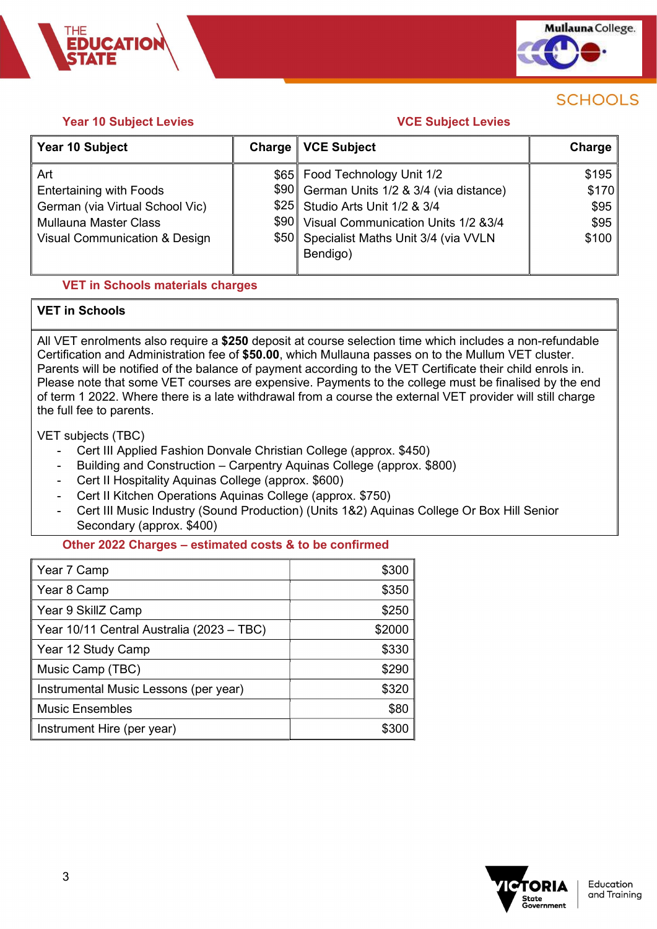

#### **Year 10 Subject Levies Contract Contract Levies** VCE Subject Levies

**CATIO** 

| Year 10 Subject                          | Charge | <b>VCE Subject</b>                         | Charge |
|------------------------------------------|--------|--------------------------------------------|--------|
| Art                                      |        | \$65 Food Technology Unit 1/2              | \$195  |
| <b>Entertaining with Foods</b>           |        | \$90 German Units 1/2 & 3/4 (via distance) | \$170  |
| German (via Virtual School Vic)          |        | \$25 Studio Arts Unit 1/2 & 3/4            | \$95   |
| <b>Mullauna Master Class</b>             |        | \$90 Visual Communication Units 1/2 & 3/4  | \$95   |
| <b>Visual Communication &amp; Design</b> |        | \$50 Specialist Maths Unit 3/4 (via VVLN   | \$100  |
|                                          |        | Bendigo)                                   |        |
|                                          |        |                                            |        |

#### VET in Schools materials charges

#### VET in Schools

All VET enrolments also require a \$250 deposit at course selection time which includes a non-refundable Certification and Administration fee of \$50.00, which Mullauna passes on to the Mullum VET cluster. Parents will be notified of the balance of payment according to the VET Certificate their child enrols in. Please note that some VET courses are expensive. Payments to the college must be finalised by the end of term 1 2022. Where there is a late withdrawal from a course the external VET provider will still charge the full fee to parents.

VET subjects (TBC)

- Cert III Applied Fashion Donvale Christian College (approx. \$450)
- Building and Construction Carpentry Aquinas College (approx. \$800)
- Cert II Hospitality Aquinas College (approx. \$600)
- Cert II Kitchen Operations Aquinas College (approx. \$750)
- Cert III Music Industry (Sound Production) (Units 1&2) Aquinas College Or Box Hill Senior Secondary (approx. \$400)

#### Other 2022 Charges – estimated costs & to be confirmed

| \$300  |
|--------|
| \$350  |
| \$250  |
| \$2000 |
| \$330  |
| \$290  |
| \$320  |
| \$80   |
| \$300  |
|        |

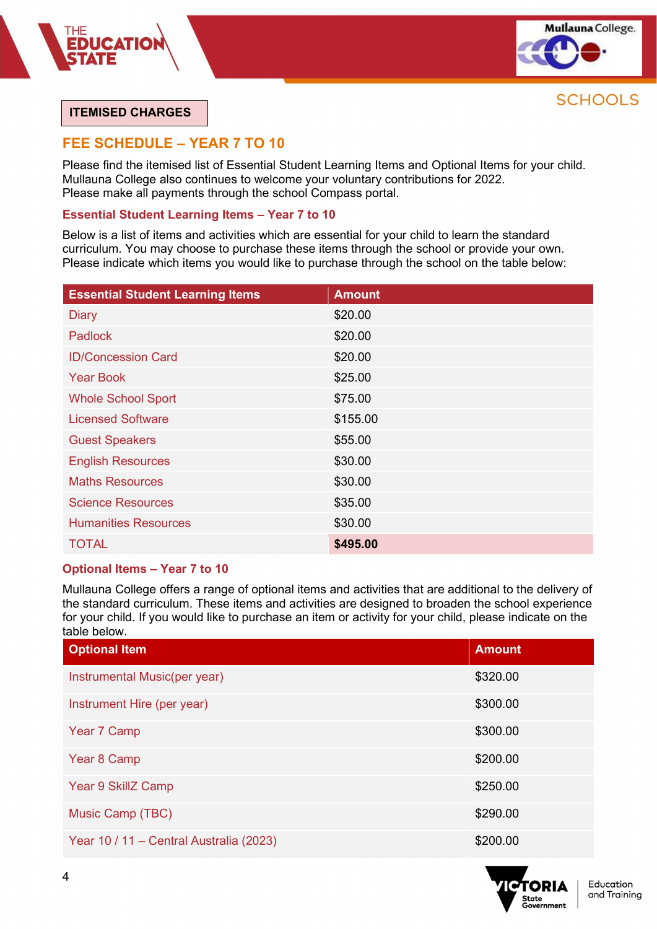

#### ITEMISED CHARGES

### FEE SCHEDULE – YEAR 7 TO 10

Please find the itemised list of Essential Student Learning Items and Optional Items for your child. Mullauna College also continues to welcome your voluntary contributions for 2022. Please make all payments through the school Compass portal.

#### Essential Student Learning Items – Year 7 to 10

Below is a list of items and activities which are essential for your child to learn the standard curriculum. You may choose to purchase these items through the school or provide your own. Please indicate which items you would like to purchase through the school on the table below:

| <b>Essential Student Learning Items</b> | <b>Amount</b> |
|-----------------------------------------|---------------|
| <b>Diary</b>                            | \$20.00       |
| <b>Padlock</b>                          | \$20.00       |
| <b>ID/Concession Card</b>               | \$20.00       |
| <b>Year Book</b>                        | \$25.00       |
| <b>Whole School Sport</b>               | \$75.00       |
| <b>Licensed Software</b>                | \$155.00      |
| <b>Guest Speakers</b>                   | \$55.00       |
| <b>English Resources</b>                | \$30.00       |
| <b>Maths Resources</b>                  | \$30.00       |
| <b>Science Resources</b>                | \$35.00       |
| <b>Humanities Resources</b>             | \$30.00       |
| <b>TOTAL</b>                            | \$495.00      |

#### Optional Items – Year 7 to 10

Mullauna College offers a range of optional items and activities that are additional to the delivery of the standard curriculum. These items and activities are designed to broaden the school experience for your child. If you would like to purchase an item or activity for your child, please indicate on the table below.

| <b>Optional Item</b>                    | <b>Amount</b> |
|-----------------------------------------|---------------|
| Instrumental Music(per year)            | \$320.00      |
| Instrument Hire (per year)              | \$300.00      |
| Year 7 Camp                             | \$300.00      |
| Year 8 Camp                             | \$200.00      |
| Year 9 SkillZ Camp                      | \$250.00      |
| Music Camp (TBC)                        | \$290.00      |
| Year 10 / 11 - Central Australia (2023) | \$200.00      |

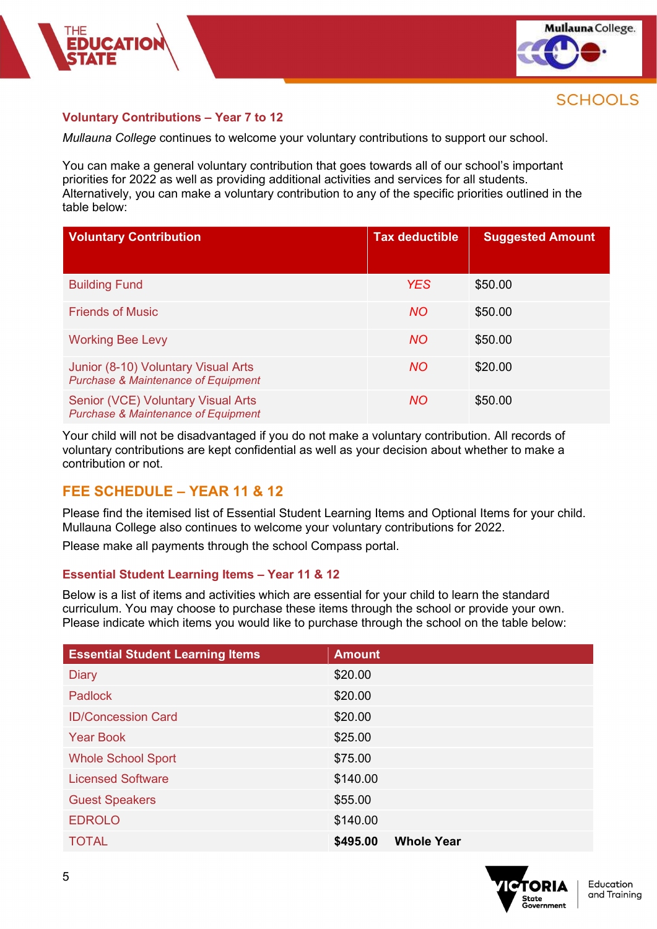

#### Voluntary Contributions – Year 7 to 12

Mullauna College continues to welcome your voluntary contributions to support our school.

You can make a general voluntary contribution that goes towards all of our school's important priorities for 2022 as well as providing additional activities and services for all students. Alternatively, you can make a voluntary contribution to any of the specific priorities outlined in the table below:

| <b>Voluntary Contribution</b>                                                         | <b>Tax deductible</b> | <b>Suggested Amount</b> |
|---------------------------------------------------------------------------------------|-----------------------|-------------------------|
| <b>Building Fund</b>                                                                  | <b>YES</b>            | \$50.00                 |
| <b>Friends of Music</b>                                                               | <b>NO</b>             | \$50.00                 |
| <b>Working Bee Levy</b>                                                               | <b>NO</b>             | \$50.00                 |
| Junior (8-10) Voluntary Visual Arts<br><b>Purchase &amp; Maintenance of Equipment</b> | <b>NO</b>             | \$20.00                 |
| Senior (VCE) Voluntary Visual Arts<br><b>Purchase &amp; Maintenance of Equipment</b>  | <b>NO</b>             | \$50.00                 |

Your child will not be disadvantaged if you do not make a voluntary contribution. All records of voluntary contributions are kept confidential as well as your decision about whether to make a contribution or not.

#### FEE SCHEDULE – YEAR 11 & 12

Please find the itemised list of Essential Student Learning Items and Optional Items for your child. Mullauna College also continues to welcome your voluntary contributions for 2022.

Please make all payments through the school Compass portal.

#### Essential Student Learning Items – Year 11 & 12

Below is a list of items and activities which are essential for your child to learn the standard curriculum. You may choose to purchase these items through the school or provide your own. Please indicate which items you would like to purchase through the school on the table below:

| <b>Essential Student Learning Items</b> | <b>Amount</b>                 |
|-----------------------------------------|-------------------------------|
| <b>Diary</b>                            | \$20.00                       |
| <b>Padlock</b>                          | \$20.00                       |
| <b>ID/Concession Card</b>               | \$20.00                       |
| <b>Year Book</b>                        | \$25.00                       |
| <b>Whole School Sport</b>               | \$75.00                       |
| <b>Licensed Software</b>                | \$140.00                      |
| <b>Guest Speakers</b>                   | \$55.00                       |
| <b>EDROLO</b>                           | \$140.00                      |
| <b>TOTAL</b>                            | <b>Whole Year</b><br>\$495.00 |

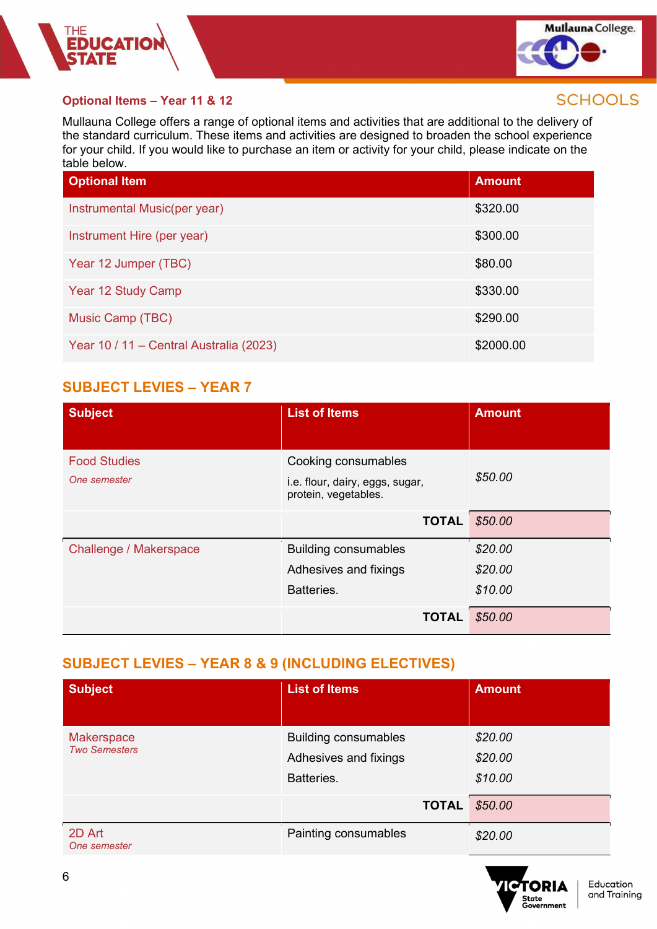



#### Optional Items – Year 11 & 12

Mullauna College offers a range of optional items and activities that are additional to the delivery of the standard curriculum. These items and activities are designed to broaden the school experience for your child. If you would like to purchase an item or activity for your child, please indicate on the table below.

| <b>Optional Item</b>                    | <b>Amount</b> |
|-----------------------------------------|---------------|
| Instrumental Music(per year)            | \$320.00      |
| Instrument Hire (per year)              | \$300.00      |
| Year 12 Jumper (TBC)                    | \$80.00       |
| Year 12 Study Camp                      | \$330.00      |
| Music Camp (TBC)                        | \$290.00      |
| Year 10 / 11 - Central Australia (2023) | \$2000.00     |

# SUBJECT LEVIES – YEAR 7

| <b>Subject</b>                      | <b>List of Items</b>                                                           | <b>Amount</b> |
|-------------------------------------|--------------------------------------------------------------------------------|---------------|
| <b>Food Studies</b><br>One semester | Cooking consumables<br>i.e. flour, dairy, eggs, sugar,<br>protein, vegetables. | \$50.00       |
|                                     | <b>TOTAL</b>                                                                   | \$50.00       |
| Challenge / Makerspace              | <b>Building consumables</b>                                                    | \$20.00       |
|                                     | Adhesives and fixings                                                          | \$20.00       |
|                                     | Batteries.                                                                     | \$10.00       |
|                                     | <b>TOTAL</b>                                                                   | \$50.00       |

# SUBJECT LEVIES – YEAR 8 & 9 (INCLUDING ELECTIVES)

| <b>Subject</b>                            | <b>List of Items</b>                                               | <b>Amount</b>                 |
|-------------------------------------------|--------------------------------------------------------------------|-------------------------------|
| <b>Makerspace</b><br><b>Two Semesters</b> | <b>Building consumables</b><br>Adhesives and fixings<br>Batteries. | \$20.00<br>\$20.00<br>\$10.00 |
|                                           | <b>TOTAL</b>                                                       | \$50.00                       |
| 2D Art<br>One semester                    | Painting consumables                                               | \$20.00                       |

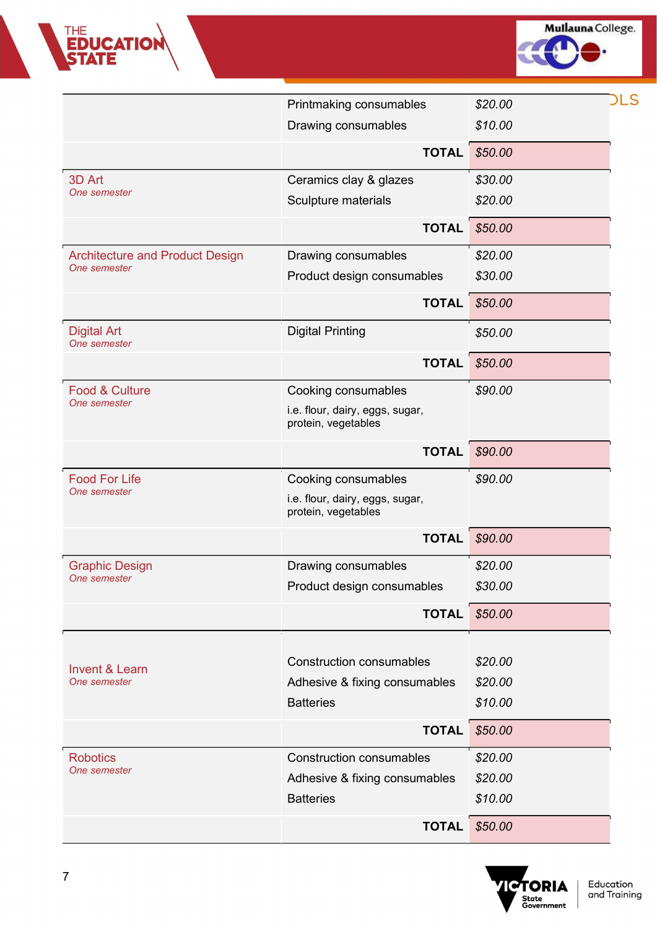

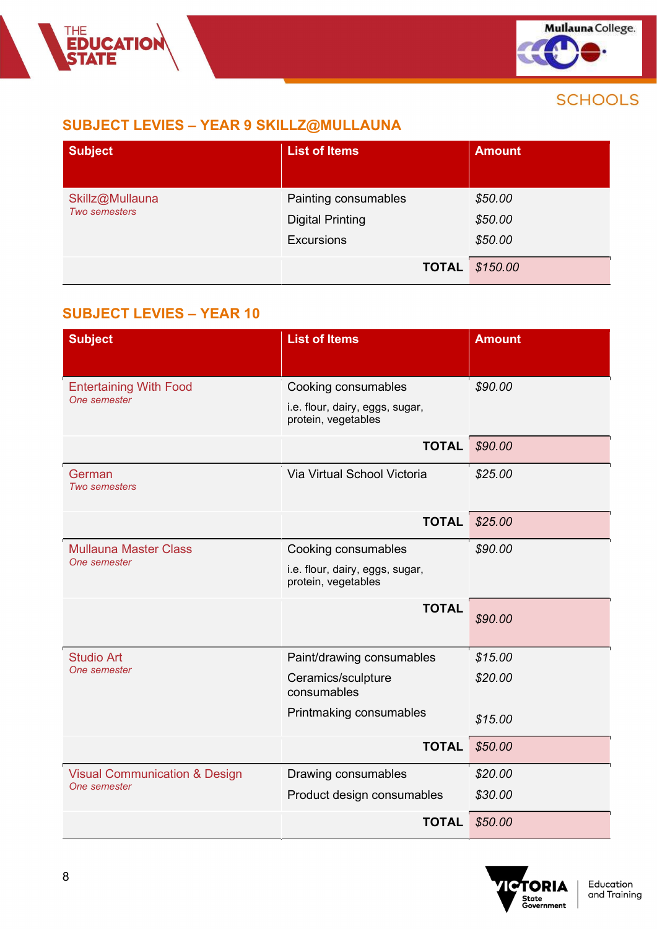# SUBJECT LEVIES – YEAR 9 SKILLZ@MULLAUNA

| <b>Subject</b>                          | <b>List of Items</b>                                                 | <b>Amount</b>                 |
|-----------------------------------------|----------------------------------------------------------------------|-------------------------------|
| Skillz@Mullauna<br><b>Two semesters</b> | Painting consumables<br><b>Digital Printing</b><br><b>Excursions</b> | \$50.00<br>\$50.00<br>\$50.00 |
|                                         | <b>TOTAL</b>                                                         | \$150.00                      |

# SUBJECT LEVIES – YEAR 10

| <b>Subject</b>                                           | <b>List of Items</b>                                   | <b>Amount</b> |
|----------------------------------------------------------|--------------------------------------------------------|---------------|
| <b>Entertaining With Food</b>                            | Cooking consumables                                    | \$90.00       |
| One semester                                             | i.e. flour, dairy, eggs, sugar,<br>protein, vegetables |               |
|                                                          | <b>TOTAL</b>                                           | \$90.00       |
| German<br><b>Two semesters</b>                           | Via Virtual School Victoria                            | \$25.00       |
|                                                          | <b>TOTAL</b>                                           | \$25.00       |
| <b>Mullauna Master Class</b>                             | Cooking consumables                                    | \$90.00       |
| One semester                                             | i.e. flour, dairy, eggs, sugar,<br>protein, vegetables |               |
|                                                          | <b>TOTAL</b>                                           | \$90.00       |
| <b>Studio Art</b>                                        | Paint/drawing consumables                              | \$15.00       |
| One semester                                             | Ceramics/sculpture<br>consumables                      | \$20.00       |
|                                                          | Printmaking consumables                                | \$15.00       |
|                                                          | <b>TOTAL</b>                                           | \$50.00       |
| <b>Visual Communication &amp; Design</b><br>One semester | Drawing consumables                                    | \$20.00       |
|                                                          | Product design consumables                             | \$30.00       |
|                                                          | <b>TOTAL</b>                                           | \$50.00       |

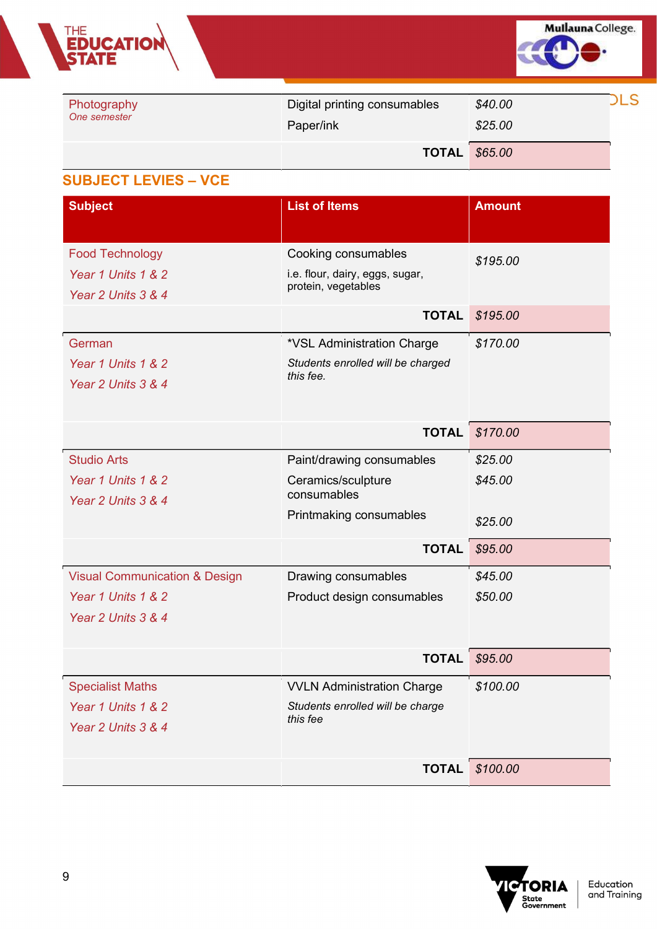

| Photography  | Digital printing consumables | \$40.00 | LS |
|--------------|------------------------------|---------|----|
| One semester | Paper/ink                    | \$25.00 |    |
|              | <b>TOTAL</b>                 | \$65.00 |    |

# SUBJECT LEVIES – VCE

| <b>Subject</b>                           | <b>List of Items</b>              | <b>Amount</b>         |
|------------------------------------------|-----------------------------------|-----------------------|
| <b>Food Technology</b>                   | Cooking consumables               |                       |
| Year 1 Units 1 & 2                       | i.e. flour, dairy, eggs, sugar,   | \$195.00              |
| Year 2 Units 3 & 4                       | protein, vegetables               |                       |
|                                          | <b>TOTAL</b>                      | \$195.00              |
| German                                   | *VSL Administration Charge        | \$170.00              |
| Year 1 Units 1 & 2                       | Students enrolled will be charged |                       |
| Year 2 Units 3 & 4                       | this fee.                         |                       |
|                                          |                                   |                       |
|                                          |                                   | <b>TOTAL</b> \$170.00 |
| <b>Studio Arts</b>                       | Paint/drawing consumables         | \$25.00               |
| Year 1 Units 1 & 2                       | Ceramics/sculpture                | \$45.00               |
| Year 2 Units 3 & 4                       | consumables                       |                       |
|                                          | Printmaking consumables           | \$25.00               |
|                                          | <b>TOTAL</b>                      | \$95.00               |
| <b>Visual Communication &amp; Design</b> | Drawing consumables               | \$45.00               |
| Year 1 Units 1 & 2                       | Product design consumables        | \$50.00               |
| Year 2 Units 3 & 4                       |                                   |                       |
|                                          |                                   |                       |
|                                          | <b>TOTAL</b>                      | \$95.00               |
| <b>Specialist Maths</b>                  | <b>VVLN Administration Charge</b> | \$100.00              |
| Year 1 Units 1 & 2                       | Students enrolled will be charge  |                       |
| Year 2 Units 3 & 4                       | this fee                          |                       |
|                                          |                                   |                       |
|                                          |                                   | <b>TOTAL</b> \$100.00 |